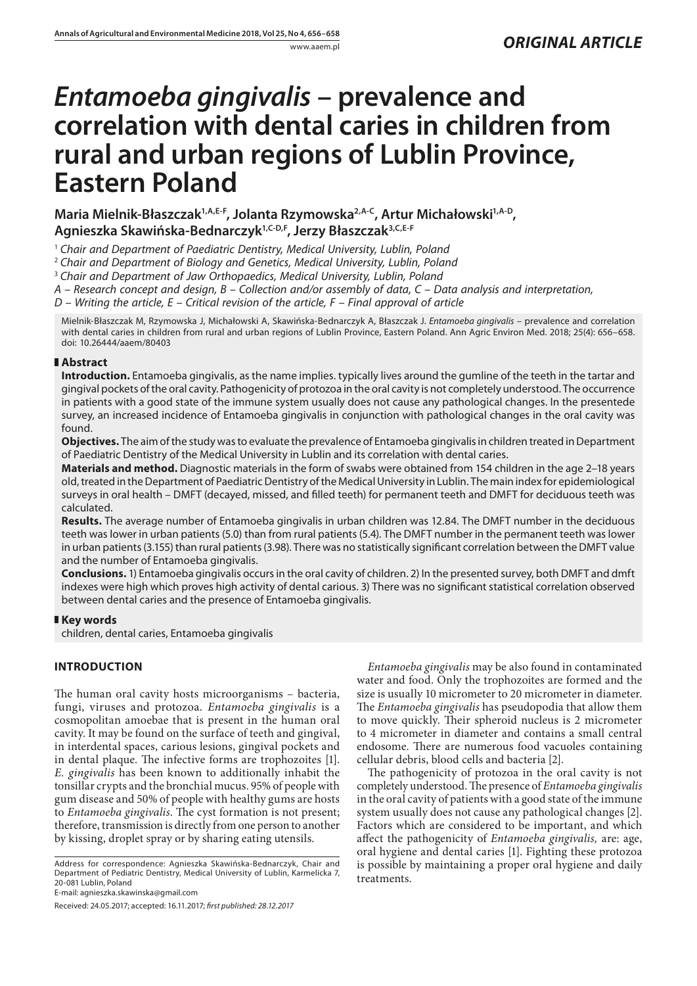# *Entamoeba gingivalis* **– prevalence and correlation with dental caries in children from rural and urban regions of Lublin Province, Eastern Poland**

Maria Mielnik-Błaszczak<sup>1,A,E-F</sup>, Jolanta Rzymowska<sup>2,A-C</sup>, Artur Michałowski<sup>1,A-D</sup>, **Agnieszka Skawińska-Bednarczyk1,C-D,F, Jerzy Błaszczak3,C,E-F**

<sup>1</sup> *Chair and Department of Paediatric Dentistry, Medical University, Lublin, Poland*

<sup>2</sup> *Chair and Department of Biology and Genetics, Medical University, Lublin, Poland*

<sup>3</sup> *Chair and Department of Jaw Orthopaedics, Medical University, Lublin, Poland*

*A – Research concept and design, B – Collection and/or assembly of data, C – Data analysis and interpretation,* 

*D – Writing the article, E – Critical revision of the article, F – Final approval of article*

Mielnik-Błaszczak M, Rzymowska J, Michałowski A, Skawińska-Bednarczyk A, Błaszczak J. *Entamoeba gingivalis* – prevalence and correlation with dental caries in children from rural and urban regions of Lublin Province, Eastern Poland. Ann Agric Environ Med. 2018; 25(4): 656–658. doi: 10.26444/aaem/80403

## **Abstract**

**Introduction.** Entamoeba gingivalis, as the name implies. typically lives around the gumline of the teeth in the tartar and gingival pockets of the oral cavity. Pathogenicity of protozoa in the oral cavity is not completely understood. The occurrence in patients with a good state of the immune system usually does not cause any pathological changes. In the presentede survey, an increased incidence of Entamoeba gingivalis in conjunction with pathological changes in the oral cavity was found.

**Objectives.** The aim of the study was to evaluate the prevalence of Entamoeba gingivalis in children treated in Department of Paediatric Dentistry of the Medical University in Lublin and its correlation with dental caries.

**Materials and method.** Diagnostic materials in the form of swabs were obtained from 154 children in the age 2–18 years old, treated in the Department of Paediatric Dentistry of the Medical University in Lublin. The main index for epidemiological surveys in oral health – DMFT (decayed, missed, and filled teeth) for permanent teeth and DMFT for deciduous teeth was calculated.

**Results.** The average number of Entamoeba gingivalis in urban children was 12.84. The DMFT number in the deciduous teeth was lower in urban patients (5.0) than from rural patients (5.4). The DMFT number in the permanent teeth was lower in urban patients (3.155) than rural patients (3.98). There was no statistically significant correlation between the DMFT value and the number of Entamoeba gingivalis.

**Conclusions.** 1) Entamoeba gingivalis occurs in the oral cavity of children. 2) In the presented survey, both DMFT and dmft indexes were high which proves high activity of dental carious. 3) There was no significant statistical correlation observed between dental caries and the presence of Entamoeba gingivalis.

## **Key words**

children, dental caries, Entamoeba gingivalis

## **INTRODUCTION**

The human oral cavity hosts microorganisms – bacteria, fungi, viruses and protozoa. *Entamoeba gingivalis* is a cosmopolitan amoebae that is present in the human oral cavity. It may be found on the surface of teeth and gingival, in interdental spaces, carious lesions, gingival pockets and in dental plaque. The infective forms are trophozoites [1]. *E. gingivalis* has been known to additionally inhabit the tonsillar crypts and the bronchial mucus. 95% of people with gum disease and 50% of people with healthy gums are hosts to *Entamoeba gingivalis*. The cyst formation is not present; therefore, transmission is directly from one person to another by kissing, droplet spray or by sharing eating utensils.

Address for correspondence: Agnieszka Skawińska-Bednarczyk, Chair and Department of Pediatric Dentistry, Medical University of Lublin, Karmelicka 7, 20-081 Lublin, Poland

E-mail: agnieszka.skawinska@gmail.com

Received: 24.05.2017; accepted: 16.11.2017; *first published: 28.12.2017*

*Entamoeba gingivalis* may be also found in contaminated water and food. Only the trophozoites are formed and the size is usually 10 micrometer to 20 micrometer in diameter. The *Entamoeba gingivalis* has pseudopodia that allow them to move quickly. Their spheroid nucleus is 2 micrometer to 4 micrometer in diameter and contains a small central endosome. There are numerous food vacuoles containing cellular debris, blood cells and bacteria [2].

The pathogenicity of protozoa in the oral cavity is not completely understood. The presence of *Entamoeba gingivalis* in the oral cavity of patients with a good state of the immune system usually does not cause any pathological changes [2]. Factors which are considered to be important, and which affect the pathogenicity of *Entamoeba gingivalis,* are: age, oral hygiene and dental caries [1]. Fighting these protozoa is possible by maintaining a proper oral hygiene and daily treatments.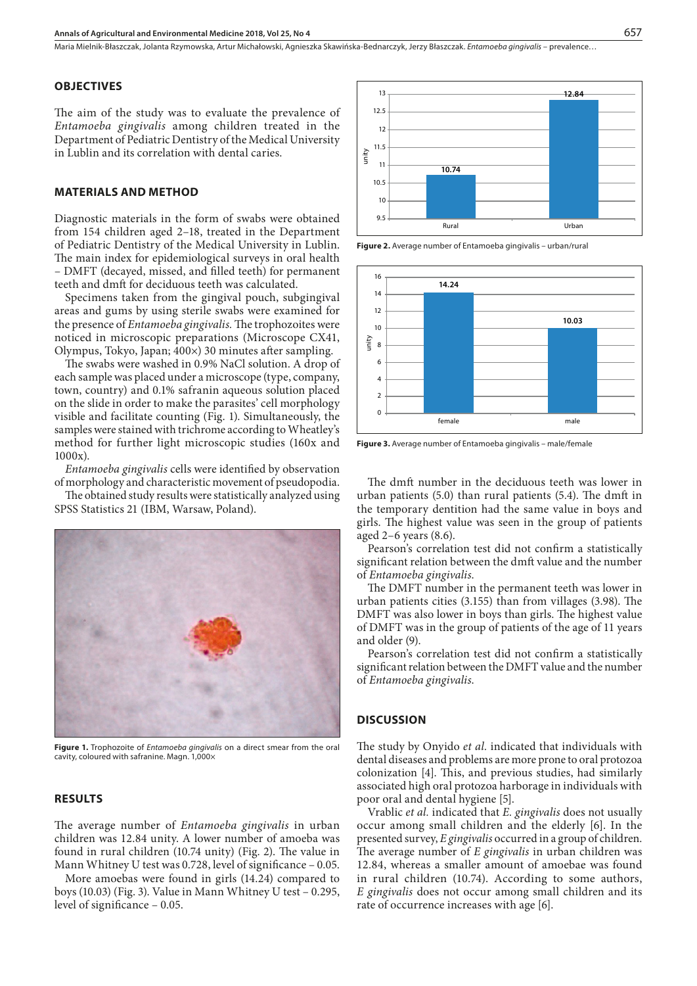Maria Mielnik-Błaszczak, Jolanta Rzymowska, Artur Michałowski, Agnieszka Skawińska-Bednarczyk, Jerzy Błaszczak . *Entamoeba gingivalis* – prevalence…

#### **OBJECTIVES**

The aim of the study was to evaluate the prevalence of *Entamoeba gingivalis* among children treated in the Department of Pediatric Dentistry of the Medical University in Lublin and its correlation with dental caries.

## **MATERIALS AND METHOD**

Diagnostic materials in the form of swabs were obtained from 154 children aged 2–18, treated in the Department of Pediatric Dentistry of the Medical University in Lublin. The main index for epidemiological surveys in oral health – DMFT (decayed, missed, and filled teeth) for permanent teeth and dmft for deciduous teeth was calculated.

Specimens taken from the gingival pouch, subgingival areas and gums by using sterile swabs were examined for the presence of *Entamoeba gingivalis.* The trophozoites were noticed in microscopic preparations (Microscope CX41, Olympus, Tokyo, Japan; 400×) 30 minutes after sampling.

The swabs were washed in 0.9% NaCl solution. A drop of each sample was placed under a microscope (type, company, town, country) and 0.1% safranin aqueous solution placed on the slide in order to make the parasites' cell morphology visible and facilitate counting (Fig. 1). Simultaneously, the samples were stained with trichrome according to Wheatley's method for further light microscopic studies (160x and 1000x).

*Entamoeba gingivalis* cells were identified by observation of morphology and characteristic movement of pseudopodia.

The obtained study results were statistically analyzed using SPSS Statistics 21 (IBM, Warsaw, Poland).



**Figure 1.** Trophozoite of *Entamoeba gingivalis* on a direct smear from the oral cavity, coloured with safranine. Magn. 1,000×

### **RESULTS**

The average number of *Entamoeba gingivalis* in urban children was 12.84 unity. A lower number of amoeba was found in rural children (10.74 unity) (Fig. 2). The value in Mann Whitney U test was 0.728, level of significance – 0.05.

More amoebas were found in girls (14.24) compared to boys (10.03) (Fig. 3). Value in Mann Whitney U test – 0.295, level of significance – 0.05.



**Figure 2.** Average number of Entamoeba gingivalis – urban/rural



**Figure 3.** Average number of Entamoeba gingivalis – male/female

The dmft number in the deciduous teeth was lower in urban patients (5.0) than rural patients (5.4). The dmft in the temporary dentition had the same value in boys and girls. The highest value was seen in the group of patients aged 2–6 years (8.6).

Pearson's correlation test did not confirm a statistically significant relation between the dmft value and the number of *Entamoeba gingivalis*.

The DMFT number in the permanent teeth was lower in urban patients cities (3.155) than from villages (3.98). The DMFT was also lower in boys than girls. The highest value of DMFT was in the group of patients of the age of 11 years and older (9).

Pearson's correlation test did not confirm a statistically significant relation between the DMFT value and the number of *Entamoeba gingivalis*.

## **DISCUSSION**

The study by Onyido *et al.* indicated that individuals with dental diseases and problems are more prone to oral protozoa colonization [4]. This, and previous studies, had similarly associated high oral protozoa harborage in individuals with poor oral and dental hygiene [5].

Vrablic *et al.* indicated that *E. gingivalis* does not usually occur among small children and the elderly [6]. In the presented survey, *E gingivalis* occurred in a group of children. The average number of *E gingivalis* in urban children was 12.84, whereas a smaller amount of amoebae was found in rural children (10.74). According to some authors, *E gingivalis* does not occur among small children and its rate of occurrence increases with age [6].